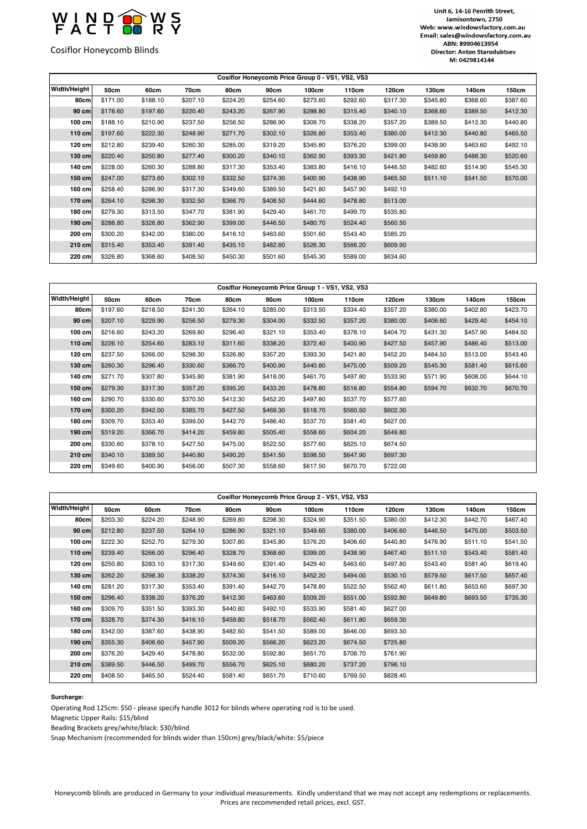

Cosiflor Honeycomb Blinds

## Unit 6, 14-16 Penrith Street, Jamisontown, 2750 Web: www.windowsfactory.com.au Email: sales@windowsfactory.com.au ABN: 89904613954 Director: Anton Starodubtsev M: 0429814144

| Cosiflor Honeycomb Price Group 0 - VS1, VS2, VS3 |          |          |          |          |          |          |          |          |          |          |          |  |  |
|--------------------------------------------------|----------|----------|----------|----------|----------|----------|----------|----------|----------|----------|----------|--|--|
| Width/Height                                     | 50cm     | 60cm     | 70cm     | 80cm     | 90cm     | 100cm    | 110cm    | 120cm    | 130cm    | 140cm    | 150cm    |  |  |
| 80cm                                             | \$171.00 | \$188.10 | \$207.10 | \$224.20 | \$254.60 | \$273.60 | \$292.60 | \$317.30 | \$345.80 | \$368.60 | \$387.60 |  |  |
| 90 cm                                            | \$178.60 | \$197.60 | \$220.40 | \$243.20 | \$267.90 | \$288.80 | \$315.40 | \$340.10 | \$368.60 | \$389.50 | \$412.30 |  |  |
| $100$ cm                                         | \$188.10 | \$210.90 | \$237.50 | \$256.50 | \$286.90 | \$309.70 | \$338.20 | \$357.20 | \$389.50 | \$412.30 | \$440.80 |  |  |
| $110$ cm                                         | \$197.60 | \$222.30 | \$248.90 | \$271.70 | \$302.10 | \$326.80 | \$353.40 | \$380.00 | \$412.30 | \$440.80 | \$465.50 |  |  |
| $120$ cm                                         | \$212.80 | \$239.40 | \$260.30 | \$285.00 | \$319.20 | \$345.80 | \$376.20 | \$399.00 | \$438.90 | \$463.60 | \$492.10 |  |  |
| $130$ cm                                         | \$220.40 | \$250.80 | \$277.40 | \$300.20 | \$340.10 | \$362.90 | \$393.30 | \$421.80 | \$459.80 | \$488.30 | \$520.60 |  |  |
| 140 cm                                           | \$228.00 | \$260.30 | \$288.80 | \$317.30 | \$353.40 | \$383.80 | \$416.10 | \$446.50 | \$482.60 | \$514.90 | \$545.30 |  |  |
| $150$ cm                                         | \$247.00 | \$273.60 | \$302.10 | \$332.50 | \$374.30 | \$400.90 | \$438.90 | \$465.50 | \$511.10 | \$541.50 | \$570.00 |  |  |
| $160$ cm                                         | \$258.40 | \$286.90 | \$317.30 | \$349.60 | \$389.50 | \$421.80 | \$457.90 | \$492.10 |          |          |          |  |  |
| 170 cm                                           | \$264.10 | \$298.30 | \$332.50 | \$366.70 | \$408.50 | \$444.60 | \$478.80 | \$513.00 |          |          |          |  |  |
| $180$ cm                                         | \$279.30 | \$313.50 | \$347.70 | \$381.90 | \$429.40 | \$461.70 | \$499.70 | \$535.80 |          |          |          |  |  |
| $190$ cm                                         | \$288.80 | \$326.80 | \$362.90 | \$399.00 | \$446.50 | \$480.70 | \$524.40 | \$560.50 |          |          |          |  |  |
| 200 cm                                           | \$300.20 | \$342.00 | \$380.00 | \$416.10 | \$463.60 | \$501.60 | \$543.40 | \$585.20 |          |          |          |  |  |
| $210$ cm                                         | \$315.40 | \$353.40 | \$391.40 | \$435.10 | \$482.60 | \$526.30 | \$566.20 | \$609.90 |          |          |          |  |  |
| 220 cm                                           | \$326.80 | \$368.60 | \$408.50 | \$450.30 | \$501.60 | \$545.30 | \$589.00 | \$634.60 |          |          |          |  |  |

| Cosiflor Honeycomb Price Group 1 - VS1, VS2, VS3 |          |          |          |          |          |          |          |          |          |          |          |  |
|--------------------------------------------------|----------|----------|----------|----------|----------|----------|----------|----------|----------|----------|----------|--|
| Width/Height                                     | 50cm     | 60cm     | 70cm     | 80cm     | 90cm     | 100cm    | 110cm    | 120cm    | 130cm    | 140cm    | 150cm    |  |
| 80cm                                             | \$197.60 | \$218.50 | \$241.30 | \$264.10 | \$285.00 | \$313.50 | \$334.40 | \$357.20 | \$380.00 | \$402.80 | \$423.70 |  |
| 90 cm                                            | \$207.10 | \$229.90 | \$256.50 | \$279.30 | \$304.00 | \$332.50 | \$357.20 | \$380.00 | \$406.60 | \$429.40 | \$454.10 |  |
| $100$ cm                                         | \$216.60 | \$243.20 | \$269.80 | \$296.40 | \$321.10 | \$353.40 | \$378.10 | \$404.70 | \$431.30 | \$457.90 | \$484.50 |  |
| $110$ cm                                         | \$226.10 | \$254.60 | \$283.10 | \$311.60 | \$338.20 | \$372.40 | \$400.90 | \$427.50 | \$457.90 | \$486.40 | \$513.00 |  |
| 120 cm                                           | \$237.50 | \$266.00 | \$298.30 | \$326.80 | \$357.20 | \$393.30 | \$421.80 | \$452.20 | \$484.50 | \$513.00 | \$543.40 |  |
| $130$ cm                                         | \$260.30 | \$296.40 | \$330.60 | \$366.70 | \$400.90 | \$440.80 | \$475.00 | \$509.20 | \$545.30 | \$581.40 | \$615.60 |  |
| 140 cm                                           | \$271.70 | \$307.80 | \$345.80 | \$381.90 | \$418.00 | \$461.70 | \$497.80 | \$533.90 | \$571.90 | \$608.00 | \$644.10 |  |
| $150$ cm                                         | \$279.30 | \$317.30 | \$357.20 | \$395.20 | \$433.20 | \$478.80 | \$516.80 | \$554.80 | \$594.70 | \$632.70 | \$670.70 |  |
| 160 cm                                           | \$290.70 | \$330.60 | \$370.50 | \$412.30 | \$452.20 | \$497.80 | \$537.70 | \$577.60 |          |          |          |  |
| 170 cm                                           | \$300.20 | \$342.00 | \$385.70 | \$427.50 | \$469.30 | \$518.70 | \$560.50 | \$602.30 |          |          |          |  |
| 180 cm                                           | \$309.70 | \$353.40 | \$399.00 | \$442.70 | \$486.40 | \$537.70 | \$581.40 | \$627.00 |          |          |          |  |
| 190 cm                                           | \$319.20 | \$366.70 | \$414.20 | \$459.80 | \$505.40 | \$558.60 | \$604.20 | \$649.80 |          |          |          |  |
| 200 cm                                           | \$330.60 | \$378.10 | \$427.50 | \$475.00 | \$522.50 | \$577.60 | \$625.10 | \$674.50 |          |          |          |  |
| 210 cm                                           | \$340.10 | \$389.50 | \$440.80 | \$490.20 | \$541.50 | \$598.50 | \$647.90 | \$697.30 |          |          |          |  |
| 220 cm                                           | \$349.60 | \$400.90 | \$456.00 | \$507.30 | \$558.60 | \$617.50 | \$670.70 | \$722.00 |          |          |          |  |

| Cosiflor Honeycomb Price Group 2 - VS1, VS2, VS3 |  |
|--------------------------------------------------|--|

| Width/Height     | 50cm     | 60cm     | 70cm     | 80cm     | 90cm     | 100cm    | 110cm    | 120cm    | 130cm    | 140cm    | 150cm    |
|------------------|----------|----------|----------|----------|----------|----------|----------|----------|----------|----------|----------|
| 80cm             | \$203.30 | \$224.20 | \$248.90 | \$269.80 | \$298.30 | \$324.90 | \$351.50 | \$380.00 | \$412.30 | \$442.70 | \$467.40 |
| 90 cm            | \$212.80 | \$237.50 | \$264.10 | \$286.90 | \$321.10 | \$349.60 | \$380.00 | \$406.60 | \$446.50 | \$475.00 | \$503.50 |
| $100 \text{ cm}$ | \$222.30 | \$252.70 | \$279.30 | \$307.80 | \$345.80 | \$376.20 | \$406.60 | \$440.80 | \$476.90 | \$511.10 | \$541.50 |
| $110$ cm         | \$239.40 | \$266.00 | \$296.40 | \$328.70 | \$368.60 | \$399.00 | \$438.90 | \$467.40 | \$511.10 | \$543.40 | \$581.40 |
| 120 cm           | \$250.80 | \$283.10 | \$317.30 | \$349.60 | \$391.40 | \$429.40 | \$463.60 | \$497.80 | \$543.40 | \$581.40 | \$619.40 |
| $130$ cm         | \$262.20 | \$298.30 | \$338.20 | \$374.30 | \$416.10 | \$452.20 | \$494.00 | \$530.10 | \$579.50 | \$617.50 | \$657.40 |
| 140 cm           | \$281.20 | \$317.30 | \$353.40 | \$391.40 | \$442.70 | \$478.80 | \$522.50 | \$562.40 | \$611.80 | \$653.60 | \$697.30 |
| $150$ cm         | \$296.40 | \$338.20 | \$376.20 | \$412.30 | \$463.60 | \$509.20 | \$551.00 | \$592.80 | \$649.80 | \$693.50 | \$735.30 |
| 160 cm           | \$309.70 | \$351.50 | \$393.30 | \$440.80 | \$492.10 | \$533.90 | \$581.40 | \$627.00 |          |          |          |
| 170 cm           | \$328.70 | \$374.30 | \$416.10 | \$459.80 | \$518.70 | \$562.40 | \$611.80 | \$659.30 |          |          |          |
| 180 cm           | \$342.00 | \$387.60 | \$438.90 | \$482.60 | \$541.50 | \$589.00 | \$646.00 | \$693.50 |          |          |          |
| $190$ cm         | \$355.30 | \$406.60 | \$457.90 | \$509.20 | \$566.20 | \$623.20 | \$674.50 | \$725.80 |          |          |          |
| 200 cm           | \$376.20 | \$429.40 | \$478.80 | \$532.00 | \$592.80 | \$651.70 | \$708.70 | \$761.90 |          |          |          |
| 210 cm           | \$389.50 | \$446.50 | \$499.70 | \$556.70 | \$625.10 | \$680.20 | \$737.20 | \$796.10 |          |          |          |
| 220 cm           | \$408.50 | \$465.50 | \$524.40 | \$581.40 | \$651.70 | \$710.60 | \$769.50 | \$828.40 |          |          |          |

## **Surcharge:**

 $\blacksquare$ 

Operating Rod 125cm: \$50 - please specify handle 3012 for blinds where operating rod is to be used.

Magnetic Upper Rails: \$15/blind

Beading Brackets grey/white/black: \$30/blind

Snap Mechanism (recommended for blinds wider than 150cm) grey/black/white: \$5/piece